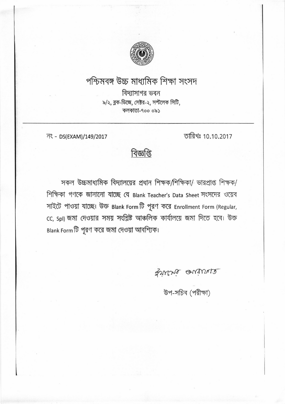

## পশ্চিমবঙ্গ উচ্চ মাধ্যমিক শিক্ষা সংসদ

বিদ্যাসাগর ভবন ৯/২, ব্লক-ডিজে, সেষ্টর-২, সল্টলেক সিটি, কলকাতা-৭০০ ০৯১

नং - DS(EXAM)/149/2017

তারিখঃ 10.10.2017

বিজ্ঞপ্তি

সকল উচ্চমাধ্যমিক বিদ্যালয়ের প্রধান শিক্ষক/শিক্ষিকা/ ভারপ্রাপ্ত শিক্ষক/ শিক্ষিকা গণকে জানানো যাচ্ছে যে Blank Teacher's Data Sheet সংসদের ওয়েব সাইটে পাওয়া যাচ্ছে। উক্ত Blank Form টি পূরণ করে Enrollment Form (Regular, cc, spl) জমা দেওয়ার সময় সংশ্লিষ্ট আঞ্চলিক কার্যালয়ে জমা দিতে হবে। উক্ত Blank Form টি পূরণ করে জমা দেওয়া আবশ্যিক।

gruens autures

উপ-সচিব (পরীক্ষা)